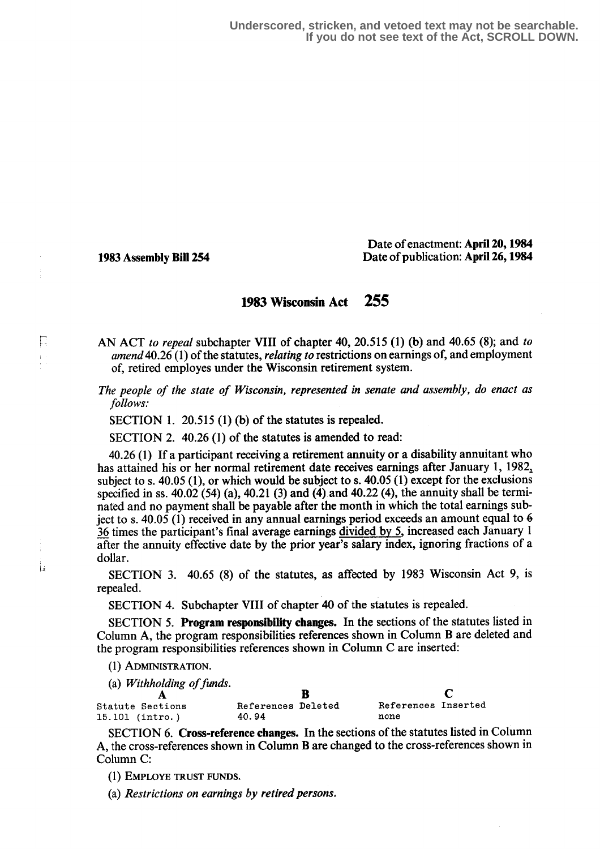**Underscored, stricken, and vetoed text may not be searchable. If you do not see text of the Act, SCROLL DOWN.**

E

Ťа

Date of enactment: April 20,1984 1983 Assembly Bill 254 Date of publication: April 26,1984

## 1983 Wisconsin Act 255

AN ACT to repeal subchapter VIII of chapter 40, 20.515 (1) (b) and 40.65 (8); and to amend 40.26 (1) of the statutes, *relating to* restrictions on earnings of, and employment of, retired employes under the Wisconsin retirement system.

The people of the state of Wisconsin, represented in senate and assembly, do enact as follows:

SECTION 1. 20.515 (1) (b) of the statutes is repealed.

SECTION 2. 40.26 (1) of the statutes is amended to read:

40.26 (1) If a participant receiving a retirement annuity or a disability annuitant who has attained his or her normal retirement date receives earnings after January 1, 1982, subject to s. 40.05 (1), or which would be subject to s. 40.05 (1) except for the exclusions specified in ss.  $40.02$  (54) (a),  $40.21$  (3) and (4) and  $40.22$  (4), the annuity shall be terminated and no payment shall be payable after the month in which the total earnings subject to s. 40.05 (1) received in any annual earnings period exceeds an amount equal to 6 36 times the participant's final average earnings divided by 5, increased each January 1 after the annuity effective date by the prior year's salary index, ignoring fractions of a dollar.

SECTION 3. 40.65 (8) of the statutes, as affected by 1983 Wisconsin Act 9, is repealed.

SECTION 4. Subchapter VIII of chapter 40 of the statutes is repealed.

SECTION 5. Program responsibility changes. In the sections of the statutes listed in Column A, the program responsibilities references shown in Column B are deleted and the program responsibilities references shown in Column C are inserted :

(1) ADMINISTRATION.

(a) Withholding of funds.

**B C**<br>References Deleted References Inserted Statute Sections References Deleted References References References References References References References References References References References References References References References References References 15.101 (intro.)

SECTION 6. Cross-reference changes. In the sections of the statutes listed in Column A, the cross-references shown in Column B are changed to the cross-references shown in Column C:

(1) EMPLOYS TRUST FUNDS.

(a) Restrictions on earnings by retired persons.